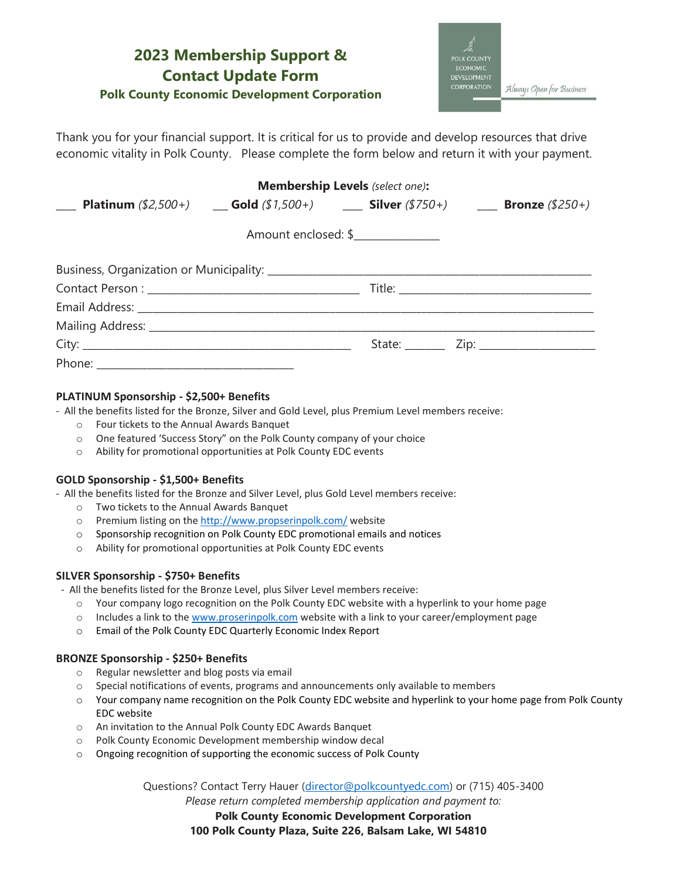## **2023 Membership Support & Contact Update Form Polk County Economic Development Corporation**

**DEVELOPMENT ORATION** Always Open for Business

Thank you for your financial support. It is critical for us to provide and develop resources that drive economic vitality in Polk County. Please complete the form below and return it with your payment.

| <b>Membership Levels</b> (select one):                                                                                    |  |                     |  |
|---------------------------------------------------------------------------------------------------------------------------|--|---------------------|--|
| <b>Platinum</b> (\$2,500+) <b>cold</b> (\$1,500+) <b>cold</b> (\$1,500+) <b>cold</b> (\$750+) <b>cold</b> Bronze (\$250+) |  |                     |  |
|                                                                                                                           |  | Amount enclosed: \$ |  |
|                                                                                                                           |  |                     |  |
|                                                                                                                           |  |                     |  |
|                                                                                                                           |  |                     |  |
|                                                                                                                           |  |                     |  |
|                                                                                                                           |  |                     |  |
|                                                                                                                           |  |                     |  |

### **PLATINUM Sponsorship - \$2,500+ Benefits**

- All the benefits listed for the Bronze, Silver and Gold Level, plus Premium Level members receive:

- o Four tickets to the Annual Awards Banquet
- o One featured 'Success Story" on the Polk County company of your choice
- o Ability for promotional opportunities at Polk County EDC events

#### **GOLD Sponsorship - \$1,500+ Benefits**

- All the benefits listed for the Bronze and Silver Level, plus Gold Level members receive:

- o Two tickets to the Annual Awards Banquet
- o Premium listing on the<http://www.propserinpolk.com/> website
- o Sponsorship recognition on Polk County EDC promotional emails and notices
- o Ability for promotional opportunities at Polk County EDC events

#### **SILVER Sponsorship - \$750+ Benefits**

- All the benefits listed for the Bronze Level, plus Silver Level members receive:

- o Your company logo recognition on the Polk County EDC website with a hyperlink to your home page
- o Includes a link to the [www.proserinpolk.com](http://www.proserinpolk.com/) website with a link to your career/employment page
- o Email of the Polk County EDC Quarterly Economic Index Report

#### **BRONZE Sponsorship - \$250+ Benefits**

- o Regular newsletter and blog posts via email
- o Special notifications of events, programs and announcements only available to members
- o Your company name recognition on the Polk County EDC website and hyperlink to your home page from Polk County EDC website
- o An invitation to the Annual Polk County EDC Awards Banquet
- o Polk County Economic Development membership window decal
- o Ongoing recognition of supporting the economic success of Polk County

Questions? Contact Terry Hauer [\(director@polkcountyedc.com\)](mailto:director@polkcountyedc.com) or (715) 405-3400

*Please return completed membership application and payment to:*

**Polk County Economic Development Corporation**

**100 Polk County Plaza, Suite 226, Balsam Lake, WI 54810**